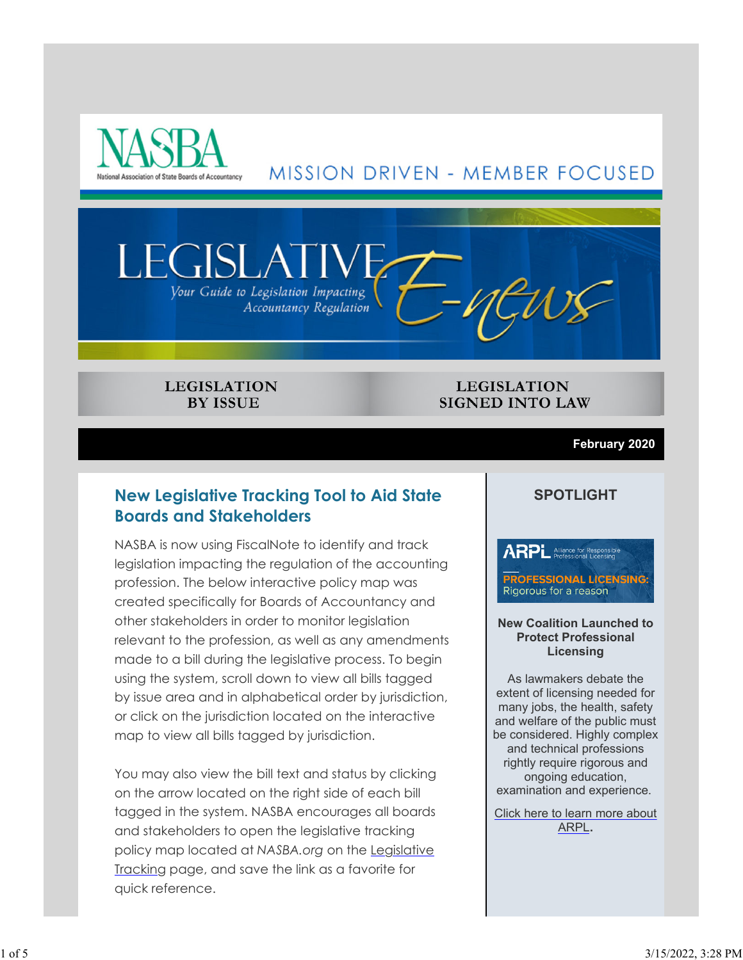

# MISSION DRIVEN - MEMBER FOCUSED



#### **LEGISLATION BY ISSUE**

**LEGISLATION SIGNED INTO LAW** 

#### **February 2020**

## **New Legislative Tracking Tool to Aid State Boards and Stakeholders**

NASBA is now using FiscalNote to identify and track legislation impacting the regulation of the accounting profession. The below interactive policy map was created specifically for Boards of Accountancy and other stakeholders in order to monitor legislation relevant to the profession, as well as any amendments made to a bill during the legislative process. To begin using the system, scroll down to view all bills tagged by issue area and in alphabetical order by jurisdiction, or click on the jurisdiction located on the interactive map to view all bills tagged by jurisdiction.

You may also view the bill text and status by clicking on the arrow located on the right side of each bill tagged in the system. NASBA encourages all boards and stakeholders to open the legislative tracking policy map located at *NASBA.org* on the Legislative Tracking page, and save the link as a favorite for quick reference.

### **SPOTLIGHT**

**ARPL** Alliance for Responsible **PROFESSIONAL LICENSING:** Rigorous for a reason

#### **New Coalition Launched to Protect Professional Licensing**

As lawmakers debate the extent of licensing needed for many jobs, the health, safety and welfare of the public must be considered. Highly complex and technical professions rightly require rigorous and ongoing education, examination and experience.

Click here to learn more about ARPL**.**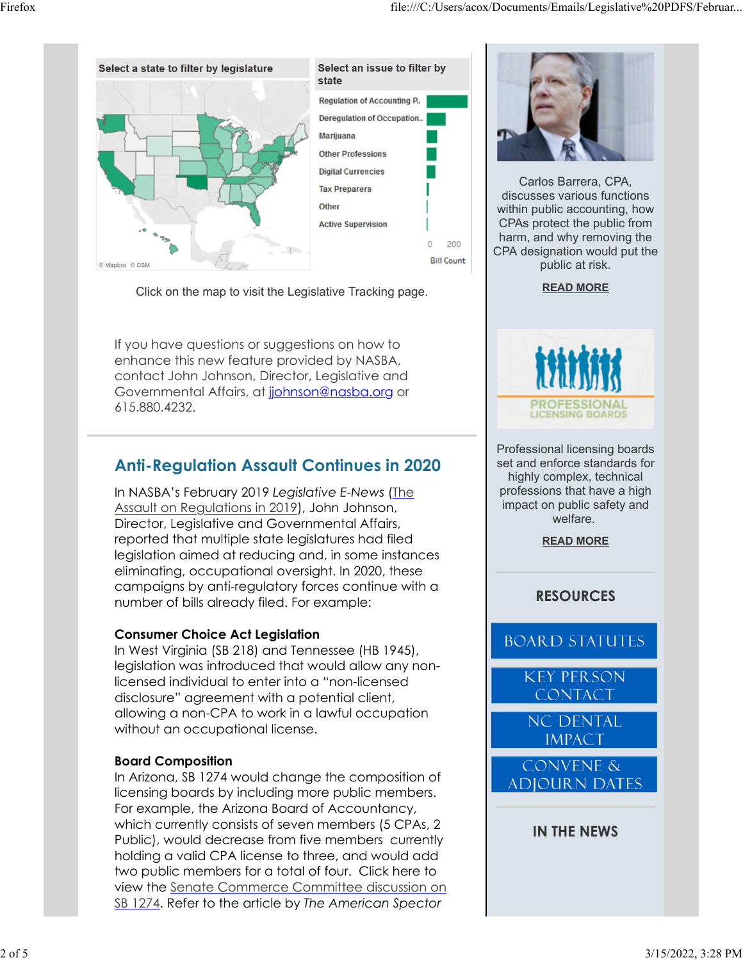

Click on the map to visit the Legislative Tracking page.

If you have questions or suggestions on how to enhance this new feature provided by NASBA, contact John Johnson, Director, Legislative and Governmental Affairs, at johnson@nasba.org or 615.880.4232.

# **Anti-Regulation Assault Continues in 2020**

In NASBA's February 2019 *Legislative E-News* (The Assault on Regulations in 2019), John Johnson, Director, Legislative and Governmental Affairs, reported that multiple state legislatures had filed legislation aimed at reducing and, in some instances eliminating, occupational oversight. In 2020, these campaigns by anti-regulatory forces continue with a number of bills already filed. For example:

### **Consumer Choice Act Legislation**

In West Virginia (SB 218) and Tennessee (HB 1945), legislation was introduced that would allow any nonlicensed individual to enter into a "non-licensed disclosure" agreement with a potential client, allowing a non-CPA to work in a lawful occupation without an occupational license.

### **Board Composition**

In Arizona, SB 1274 would change the composition of licensing boards by including more public members. For example, the Arizona Board of Accountancy, which currently consists of seven members (5 CPAs, 2 Public), would decrease from five members currently holding a valid CPA license to three, and would add two public members for a total of four. Click here to view the Senate Commerce Committee discussion on SB 1274. Refer to the article by *The American Spector*



Carlos Barrera, CPA, discusses various functions within public accounting, how CPAs protect the public from harm, and why removing the CPA designation would put the public at risk.

#### **READ MORE**



Professional licensing boards set and enforce standards for highly complex, technical professions that have a high impact on public safety and welfare.

**READ MORE**

### **RESOURCES**

**BOARD STATUTES** 

**KEY PERSON CONTACT** 

**NC DENTAL IMPACT** 

**CONVENE & ADJOURN DATES** 

**IN THE NEWS**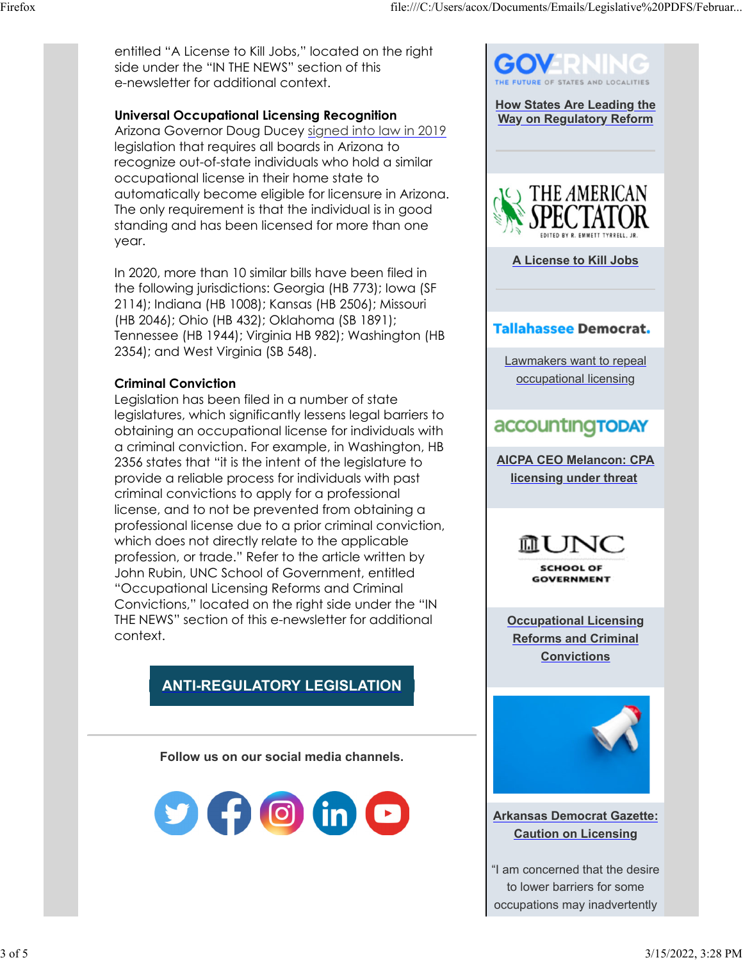entitled "A License to Kill Jobs," located on the right side under the "IN THE NEWS" section of this e-newsletter for additional context.

#### **Universal Occupational Licensing Recognition**

Arizona Governor Doug Ducey signed into law in 2019 legislation that requires all boards in Arizona to recognize out-of-state individuals who hold a similar occupational license in their home state to automatically become eligible for licensure in Arizona. The only requirement is that the individual is in good standing and has been licensed for more than one year.

In 2020, more than 10 similar bills have been filed in the following jurisdictions: Georgia (HB 773); Iowa (SF 2114); Indiana (HB 1008); Kansas (HB 2506); Missouri (HB 2046); Ohio (HB 432); Oklahoma (SB 1891); Tennessee (HB 1944); Virginia HB 982); Washington (HB 2354); and West Virginia (SB 548).

#### **Criminal Conviction**

Legislation has been filed in a number of state legislatures, which significantly lessens legal barriers to obtaining an occupational license for individuals with a criminal conviction. For example, in Washington, HB 2356 states that "it is the intent of the legislature to provide a reliable process for individuals with past criminal convictions to apply for a professional license, and to not be prevented from obtaining a professional license due to a prior criminal conviction, which does not directly relate to the applicable profession, or trade." Refer to the article written by John Rubin, UNC School of Government, entitled "Occupational Licensing Reforms and Criminal Convictions," located on the right side under the "IN THE NEWS" section of this e-newsletter for additional context.

# **ANTI-REGULATORY LEGISLATION**

**Follow us on our social media channels.**





**Arkansas Democrat Gazette: Caution on Licensing**

"I am concerned that the desire to lower barriers for some occupations may inadvertently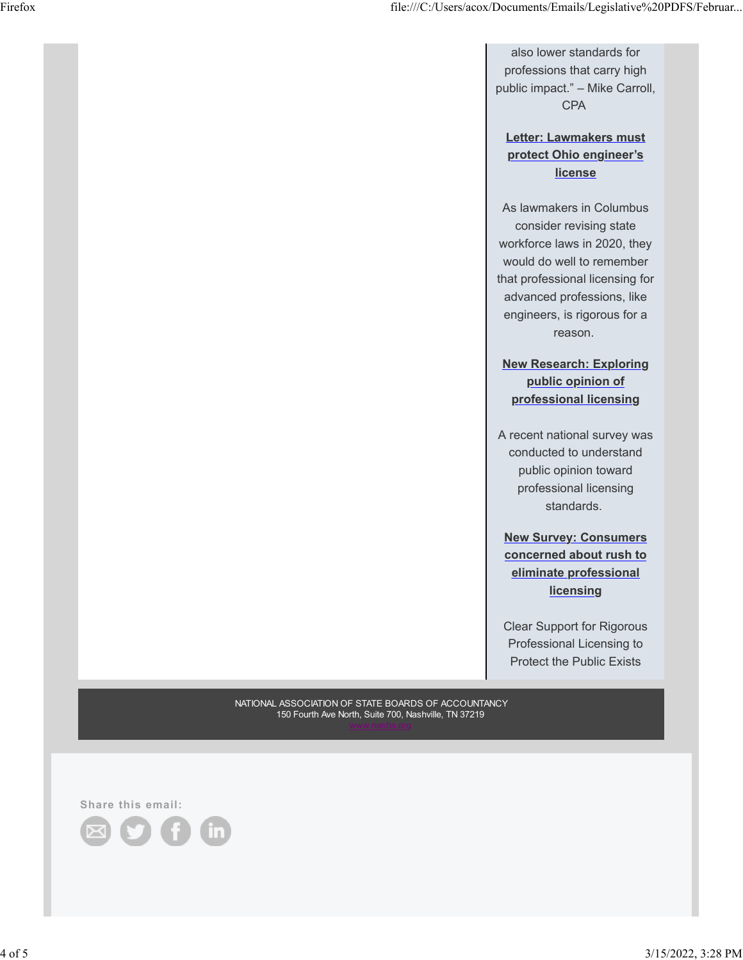also lower standards for professions that carry high public impact." – Mike Carroll, CPA

#### **Letter: Lawmakers must protect Ohio engineer's license**

As lawmakers in Columbus consider revising state workforce laws in 2020, they would do well to remember that professional licensing for advanced professions, like engineers, is rigorous for a reason.

**New Research: Exploring public opinion of professional licensing**

A recent national survey was conducted to understand public opinion toward professional licensing standards.

**New Survey: Consumers concerned about rush to eliminate professional licensing**

Clear Support for Rigorous Professional Licensing to Protect the Public Exists

NATIONAL ASSOCIATION OF STATE BOARDS OF ACCOUNTANCY 150 Fourth Ave North, Suite 700, Nashville, TN 37219

**Share this email:**